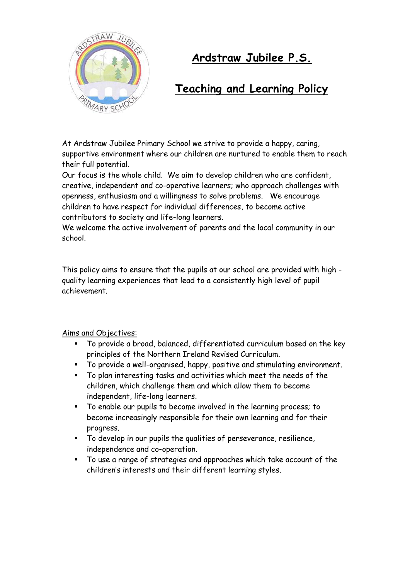

# **Ardstraw Jubilee P.S.**

# **Teaching and Learning Policy**

At Ardstraw Jubilee Primary School we strive to provide a happy, caring, supportive environment where our children are nurtured to enable them to reach their full potential.

Our focus is the whole child. We aim to develop children who are confident, creative, independent and co-operative learners; who approach challenges with openness, enthusiasm and a willingness to solve problems. We encourage children to have respect for individual differences, to become active contributors to society and life-long learners.

We welcome the active involvement of parents and the local community in our school.

This policy aims to ensure that the pupils at our school are provided with high quality learning experiences that lead to a consistently high level of pupil achievement.

# Aims and Objectives:

- To provide a broad, balanced, differentiated curriculum based on the key principles of the Northern Ireland Revised Curriculum.
- To provide a well-organised, happy, positive and stimulating environment.
- To plan interesting tasks and activities which meet the needs of the children, which challenge them and which allow them to become independent, life-long learners.
- To enable our pupils to become involved in the learning process; to become increasingly responsible for their own learning and for their progress.
- To develop in our pupils the qualities of perseverance, resilience, independence and co-operation.
- To use a range of strategies and approaches which take account of the children's interests and their different learning styles.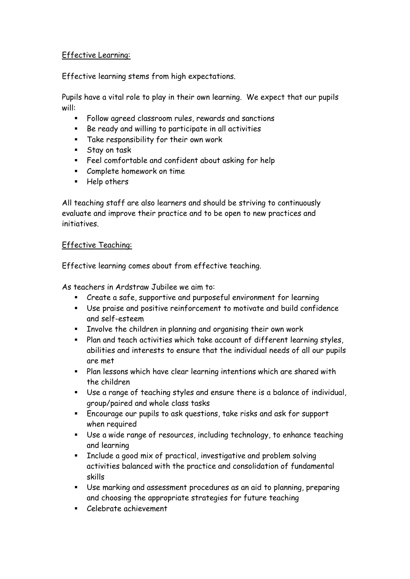# Effective Learning:

Effective learning stems from high expectations.

Pupils have a vital role to play in their own learning. We expect that our pupils will:

- Follow agreed classroom rules, rewards and sanctions
- Be ready and willing to participate in all activities
- Take responsibility for their own work
- **Stay on task**
- Feel comfortable and confident about asking for help
- Complete homework on time
- **Help others**

All teaching staff are also learners and should be striving to continuously evaluate and improve their practice and to be open to new practices and initiatives.

#### Effective Teaching:

Effective learning comes about from effective teaching.

As teachers in Ardstraw Jubilee we aim to:

- Create a safe, supportive and purposeful environment for learning
- Use praise and positive reinforcement to motivate and build confidence and self-esteem
- **EXECT** Involve the children in planning and organising their own work
- Plan and teach activities which take account of different learning styles, abilities and interests to ensure that the individual needs of all our pupils are met
- Plan lessons which have clear learning intentions which are shared with the children
- Use a range of teaching styles and ensure there is a balance of individual, group/paired and whole class tasks
- Encourage our pupils to ask questions, take risks and ask for support when required
- Use a wide range of resources, including technology, to enhance teaching and learning
- Include a good mix of practical, investigative and problem solving activities balanced with the practice and consolidation of fundamental skills
- Use marking and assessment procedures as an aid to planning, preparing and choosing the appropriate strategies for future teaching
- Celebrate achievement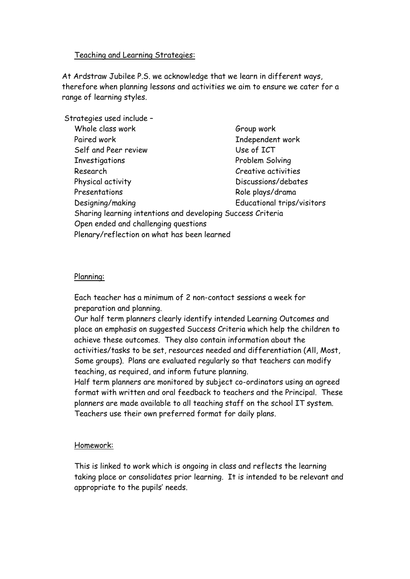#### Teaching and Learning Strategies:

At Ardstraw Jubilee P.S. we acknowledge that we learn in different ways, therefore when planning lessons and activities we aim to ensure we cater for a range of learning styles.

| Strategies used include -                                   |                            |
|-------------------------------------------------------------|----------------------------|
| Whole class work                                            | Group work                 |
| Paired work                                                 | Independent work           |
| Self and Peer review                                        | Use of ICT                 |
| Investigations                                              | Problem Solving            |
| Research                                                    | Creative activities        |
| Physical activity                                           | Discussions/debates        |
| Presentations                                               | Role plays/drama           |
| Designing/making                                            | Educational trips/visitors |
| Sharing learning intentions and developing Success Criteria |                            |
| Open ended and challenging questions                        |                            |
| Plenary/reflection on what has been learned                 |                            |

#### Planning:

Each teacher has a minimum of 2 non-contact sessions a week for preparation and planning.

Our half term planners clearly identify intended Learning Outcomes and place an emphasis on suggested Success Criteria which help the children to achieve these outcomes. They also contain information about the activities/tasks to be set, resources needed and differentiation (All, Most, Some groups). Plans are evaluated regularly so that teachers can modify teaching, as required, and inform future planning.

Half term planners are monitored by subject co-ordinators using an agreed format with written and oral feedback to teachers and the Principal. These planners are made available to all teaching staff on the school IT system. Teachers use their own preferred format for daily plans.

#### Homework:

This is linked to work which is ongoing in class and reflects the learning taking place or consolidates prior learning. It is intended to be relevant and appropriate to the pupils' needs.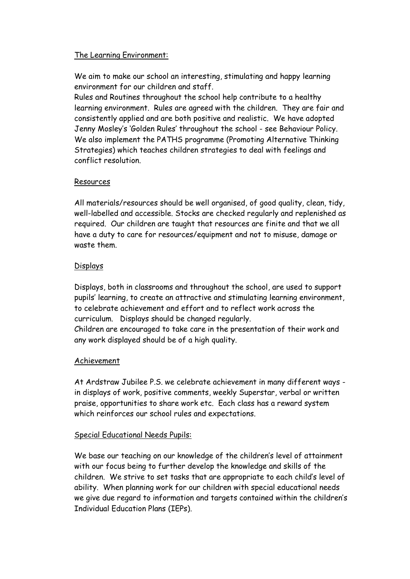### The Learning Environment:

We aim to make our school an interesting, stimulating and happy learning environment for our children and staff.

Rules and Routines throughout the school help contribute to a healthy learning environment. Rules are agreed with the children. They are fair and consistently applied and are both positive and realistic. We have adopted Jenny Mosley's 'Golden Rules' throughout the school - see Behaviour Policy. We also implement the PATHS programme (Promoting Alternative Thinking Strategies) which teaches children strategies to deal with feelings and conflict resolution.

## Resources

All materials/resources should be well organised, of good quality, clean, tidy, well-labelled and accessible. Stocks are checked regularly and replenished as required. Our children are taught that resources are finite and that we all have a duty to care for resources/equipment and not to misuse, damage or waste them.

## Displays

Displays, both in classrooms and throughout the school, are used to support pupils' learning, to create an attractive and stimulating learning environment, to celebrate achievement and effort and to reflect work across the curriculum. Displays should be changed regularly. Children are encouraged to take care in the presentation of their work and any work displayed should be of a high quality.

# Achievement

At Ardstraw Jubilee P.S. we celebrate achievement in many different ways in displays of work, positive comments, weekly Superstar, verbal or written praise, opportunities to share work etc. Each class has a reward system which reinforces our school rules and expectations.

#### Special Educational Needs Pupils:

We base our teaching on our knowledge of the children's level of attainment with our focus being to further develop the knowledge and skills of the children. We strive to set tasks that are appropriate to each child's level of ability. When planning work for our children with special educational needs we give due regard to information and targets contained within the children's Individual Education Plans (IEPs).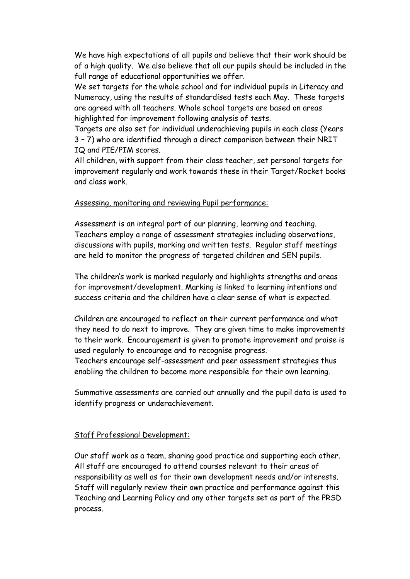We have high expectations of all pupils and believe that their work should be of a high quality. We also believe that all our pupils should be included in the full range of educational opportunities we offer.

We set targets for the whole school and for individual pupils in Literacy and Numeracy, using the results of standardised tests each May. These targets are agreed with all teachers. Whole school targets are based on areas highlighted for improvement following analysis of tests.

Targets are also set for individual underachieving pupils in each class (Years 3 – 7) who are identified through a direct comparison between their NRIT IQ and PIE/PIM scores.

All children, with support from their class teacher, set personal targets for improvement regularly and work towards these in their Target/Rocket books and class work.

#### Assessing, monitoring and reviewing Pupil performance:

Assessment is an integral part of our planning, learning and teaching. Teachers employ a range of assessment strategies including observations, discussions with pupils, marking and written tests. Regular staff meetings are held to monitor the progress of targeted children and SEN pupils.

The children's work is marked regularly and highlights strengths and areas for improvement/development. Marking is linked to learning intentions and success criteria and the children have a clear sense of what is expected.

Children are encouraged to reflect on their current performance and what they need to do next to improve. They are given time to make improvements to their work. Encouragement is given to promote improvement and praise is used regularly to encourage and to recognise progress.

Teachers encourage self-assessment and peer assessment strategies thus enabling the children to become more responsible for their own learning.

Summative assessments are carried out annually and the pupil data is used to identify progress or underachievement.

#### Staff Professional Development:

Our staff work as a team, sharing good practice and supporting each other. All staff are encouraged to attend courses relevant to their areas of responsibility as well as for their own development needs and/or interests. Staff will regularly review their own practice and performance against this Teaching and Learning Policy and any other targets set as part of the PRSD process.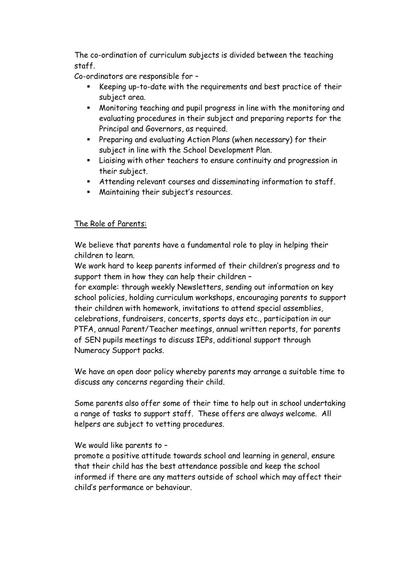The co-ordination of curriculum subjects is divided between the teaching staff.

Co-ordinators are responsible for –

- Keeping up-to-date with the requirements and best practice of their subject area.
- Monitoring teaching and pupil progress in line with the monitoring and evaluating procedures in their subject and preparing reports for the Principal and Governors, as required.
- Preparing and evaluating Action Plans (when necessary) for their subject in line with the School Development Plan.
- Liaising with other teachers to ensure continuity and progression in their subject.
- Attending relevant courses and disseminating information to staff.
- Maintaining their subject's resources.

# The Role of Parents:

We believe that parents have a fundamental role to play in helping their children to learn.

We work hard to keep parents informed of their children's progress and to support them in how they can help their children –

for example: through weekly Newsletters, sending out information on key school policies, holding curriculum workshops, encouraging parents to support their children with homework, invitations to attend special assemblies, celebrations, fundraisers, concerts, sports days etc., participation in our PTFA, annual Parent/Teacher meetings, annual written reports, for parents of SEN pupils meetings to discuss IEPs, additional support through Numeracy Support packs.

We have an open door policy whereby parents may arrange a suitable time to discuss any concerns regarding their child.

Some parents also offer some of their time to help out in school undertaking a range of tasks to support staff. These offers are always welcome. All helpers are subject to vetting procedures.

# We would like parents to –

promote a positive attitude towards school and learning in general, ensure that their child has the best attendance possible and keep the school informed if there are any matters outside of school which may affect their child's performance or behaviour.